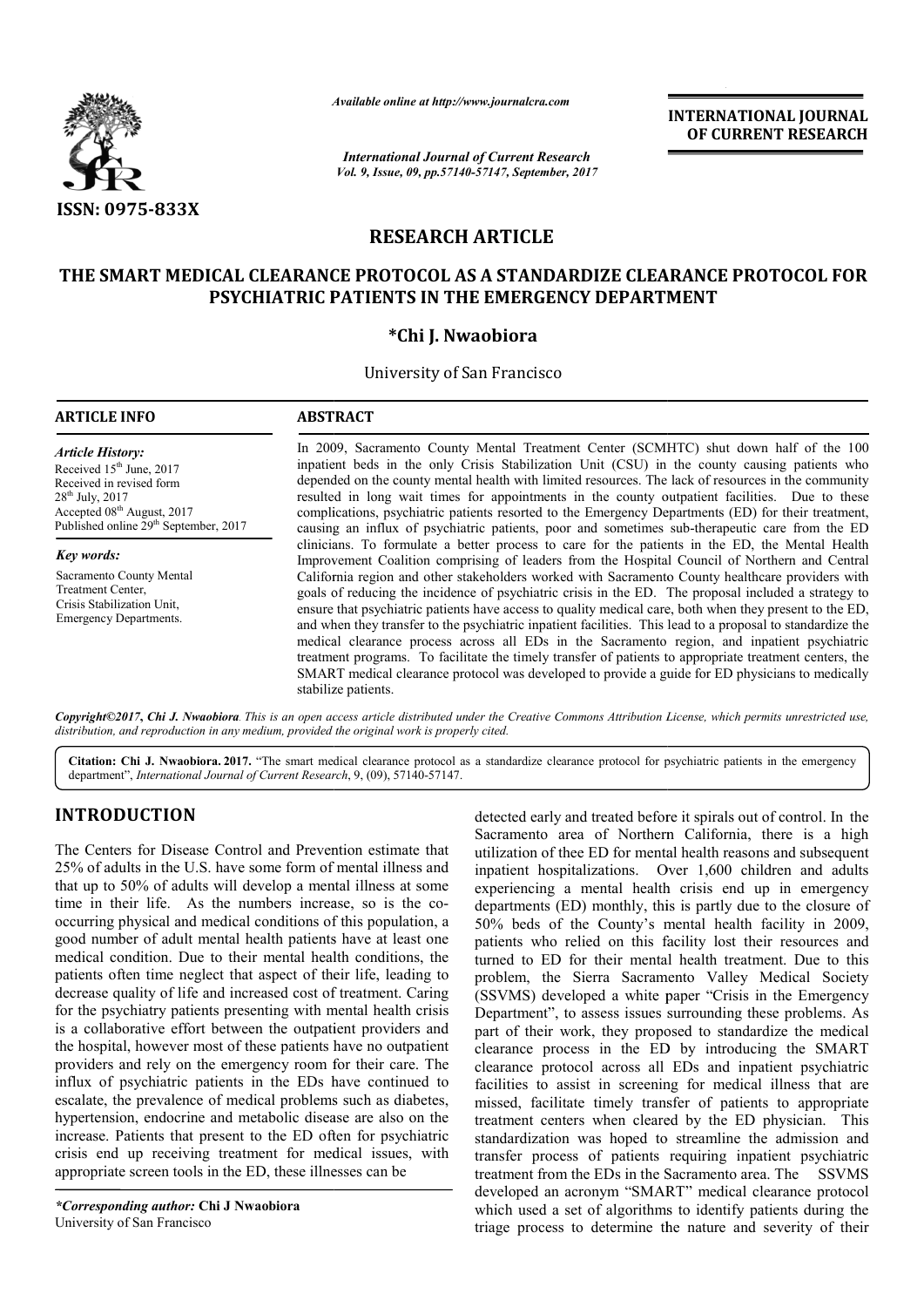

*Available online at http://www.journal http://www.journalcra.com*

*International Journal of Current Research Vol. 9, Issue, 09, pp.57140-57147, September, 2017* **INTERNATIONAL JOURNAL OF CURRENT RESEARCH** 

# **RESEARCH ARTICLE**

## **THE SMART MEDICAL CLEARANCE PROTOCOL AS A STANDARDIZE CLEARANCE PROTOCOL FOR PSYCHIATRIC PATIENTS IN THE EMERGENCY DEPARTMENT**

### **\*Chi J. Nwaobiora**

University of San Francisco

| <b>ARTICLE INFO</b>                                                                                                                                                                                        | <b>ABSTRACT</b>                                                                                                                                                                                                                                                                                                                                                                                                                                                                                                                                                                                                                                                                                                                                                                                              |  |  |  |  |  |
|------------------------------------------------------------------------------------------------------------------------------------------------------------------------------------------------------------|--------------------------------------------------------------------------------------------------------------------------------------------------------------------------------------------------------------------------------------------------------------------------------------------------------------------------------------------------------------------------------------------------------------------------------------------------------------------------------------------------------------------------------------------------------------------------------------------------------------------------------------------------------------------------------------------------------------------------------------------------------------------------------------------------------------|--|--|--|--|--|
| <b>Article History:</b><br>Received $15th$ June, 2017<br>Received in revised form<br>$28^{th}$ July, $2017$<br>Accepted 08 <sup>th</sup> August, 2017<br>Published online 29 <sup>th</sup> September, 2017 | In 2009, Sacramento County Mental Treatment Center (SCMHTC) shut down half of the 100<br>inpatient beds in the only Crisis Stabilization Unit (CSU) in the county causing patients who<br>depended on the county mental health with limited resources. The lack of resources in the community<br>resulted in long wait times for appointments in the county outpatient facilities. Due to these<br>complications, psychiatric patients resorted to the Emergency Departments (ED) for their treatment,<br>causing an influx of psychiatric patients, poor and sometimes sub-therapeutic care from the ED<br>clinicians. To formulate a better process to care for the patients in the ED, the Mental Health<br>Improvement Coalition comprising of leaders from the Hospital Council of Northern and Central |  |  |  |  |  |
| <b>Key words:</b>                                                                                                                                                                                          |                                                                                                                                                                                                                                                                                                                                                                                                                                                                                                                                                                                                                                                                                                                                                                                                              |  |  |  |  |  |
| Sacramento County Mental<br>Treatment Center,<br>Crisis Stabilization Unit.<br><b>Emergency Departments.</b>                                                                                               | California region and other stakeholders worked with Sacramento County healthcare providers with<br>goals of reducing the incidence of psychiatric crisis in the ED. The proposal included a strategy to<br>ensure that psychiatric patients have access to quality medical care, both when they present to the ED,<br>and when they transfer to the psychiatric inpatient facilities. This lead to a proposal to standardize the<br>medical clearance process across all EDs in the Sacramento region, and inpatient psychiatric<br>treatment programs. To facilitate the timely transfer of patients to appropriate treatment centers, the<br>SMART medical clearance protocol was developed to provide a guide for ED physicians to medically<br>stabilize patients.                                      |  |  |  |  |  |

**Citation: Chi J. Nwaobiora. 2017.** "The smart medical clearance protocol as a standardize clearance protocol for psychiatric patients in the emergency department", *International Journal of Current Research* , 9, (09), 57140-57147.

# **INTRODUCTION**

The Centers for Disease Control and Prevention estimate that 25% of adults in the U.S. have some form of mental illness and that up to 50% of adults will develop a mental illness at some time in their life. As the numbers increase, so is the cooccurring physical and medical conditions of this population, a good number of adult mental health patients have at least one medical condition. Due to their mental health conditions, the patients often time neglect that aspect of their life, leading to decrease quality of life and increased cost of treatment. Caring for the psychiatry patients presenting with mental health crisis is a collaborative effort between the outpatient providers and the hospital, however most of these patients have no outpatient providers and rely on the emergency room for their care. The influx of psychiatric patients in the EDs have continued to escalate, the prevalence of medical problems such as diabetes, hypertension, endocrine and metabolic disease are also on the increase. Patients that present to the ED often for psychiatric crisis end up receiving treatment for medical issues, with appropriate screen tools in the ED, these illnesses can be

**UCTION**<br>
detected early and treated before it spirals out of control.<br>
Sor Siesane Control and Prevention estimate that<br>
ligitization of thee ED for mental headh reasons and subs<br>
lis in the U.S. have some form of mental Sacramento area of Northern California, there is a high utilization of thee ED for mental health reasons and subsequent inpatient hospitalizations. Over 1,600 children and adults experiencing a mental health crisis end up in emergency departments (ED) monthly, this is partly due to the closure of 50% beds of the County's mental health facility in 2009, 50% beds of the County's mental health facility in 2009, patients who relied on this facility lost their resources and turned to ED for their mental health treatment. Due to this problem, the Sierra Sacramento Valley Medical Society (SSVMS) developed a white paper "Crisis in the Emergency Department", to assess issues surrounding these problems. As part of their work, they proposed to standardize the medical clearance process in the ED by introducing the SMART clearance protocol across all EDs and inpatient psychiatric facilities to assist in screening for medical illness that are missed, facilitate timely transfer of patients to appropriate treatment centers when cleared by the ED physician. This standardization was hoped to streamline the admission and transfer process of patients requiring inpatient psychiatric treatment from the EDs in the Sacramento area. The SSVMS developed an acronym "SMART" medical clearance protocol which used a set of algorithms to identify patients during the triage process to determine the nature and severity of their detected early and treated before it spirals out of control. In the utilization of thee ED for mental health reasons and subsequent<br>inpatient hospitalizations. Over 1,600 children and adults<br>experiencing a mental health crisis end up in emergency the Sierra Sacramento Valley Medical Society<br>
) developed a white paper "Crisis in the Emergency<br>
ent", to assess issues surrounding these problems. As<br>
heir work, they proposed to standardize the medical<br>
e process in the INTERNATIONAL JOURNAL<br>
IDENTIFY (OF CURRENT RESEARCH<br>
IDENTIFY (OF CURRENT RESEARCH<br>
IDENTIFY (CLE<br>
CLE<br>
CLE<br>
CLE<br>
CLE<br>
CLE<br>
CRENCY DEPARTMENT<br>
TRESS TO THE CONSTRIPT (SOMETY) shut down half of the 100<br>
Diblization Unit (C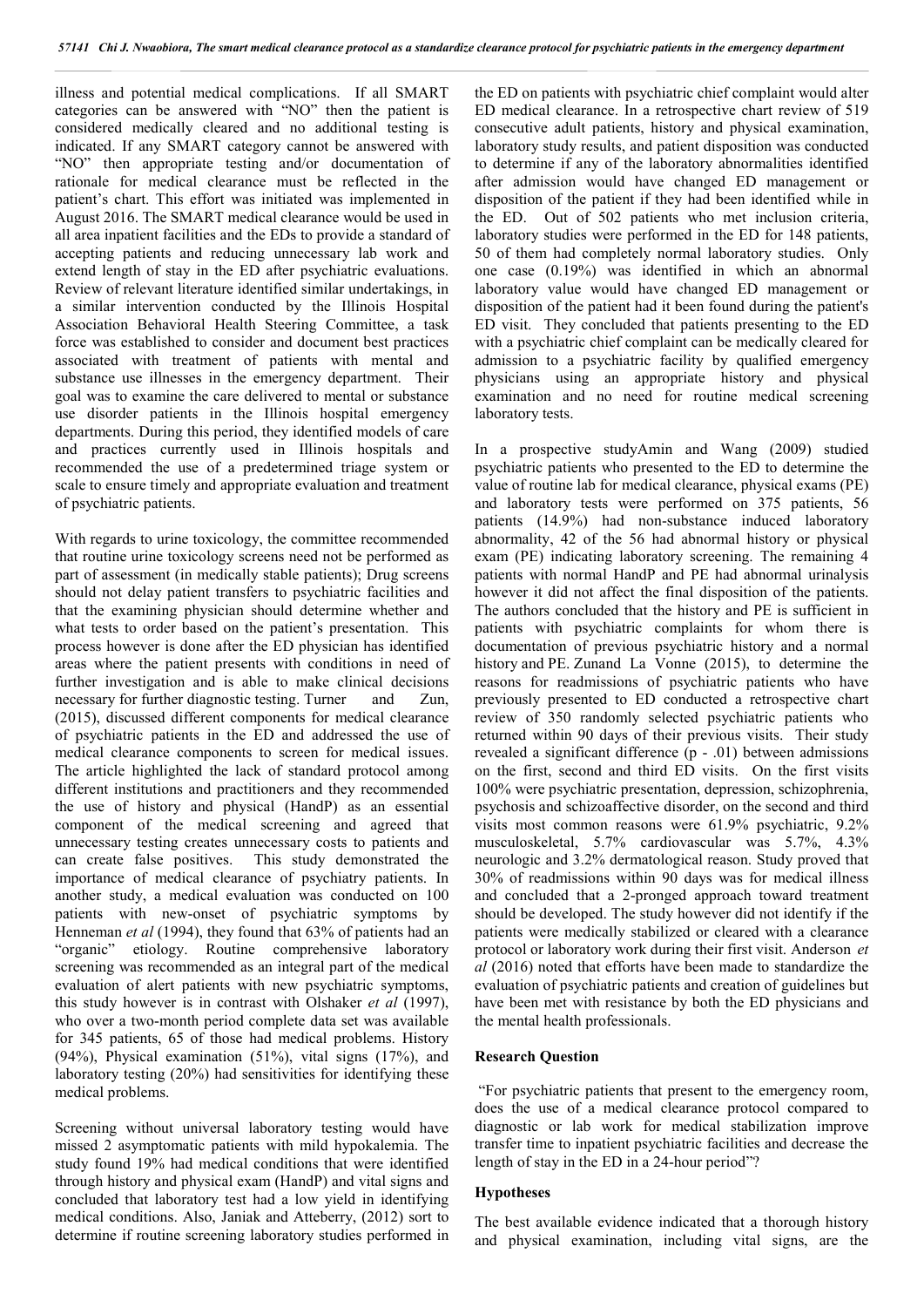illness and potential medical complications. If all SMART categories can be answered with "NO" then the patient is considered medically cleared and no additional testing is indicated. If any SMART category cannot be answered with "NO" then appropriate testing and/or documentation of rationale for medical clearance must be reflected in the patient's chart. This effort was initiated was implemented in August 2016. The SMART medical clearance would be used in all area inpatient facilities and the EDs to provide a standard of accepting patients and reducing unnecessary lab work and extend length of stay in the ED after psychiatric evaluations. Review of relevant literature identified similar undertakings, in a similar intervention conducted by the Illinois Hospital Association Behavioral Health Steering Committee, a task force was established to consider and document best practices associated with treatment of patients with mental and substance use illnesses in the emergency department. Their goal was to examine the care delivered to mental or substance use disorder patients in the Illinois hospital emergency departments. During this period, they identified models of care and practices currently used in Illinois hospitals and recommended the use of a predetermined triage system or scale to ensure timely and appropriate evaluation and treatment of psychiatric patients.

With regards to urine toxicology, the committee recommended that routine urine toxicology screens need not be performed as part of assessment (in medically stable patients); Drug screens should not delay patient transfers to psychiatric facilities and that the examining physician should determine whether and what tests to order based on the patient's presentation. This process however is done after the ED physician has identified areas where the patient presents with conditions in need of further investigation and is able to make clinical decisions necessary for further diagnostic testing. Turner and Zun, (2015), discussed different components for medical clearance of psychiatric patients in the ED and addressed the use of medical clearance components to screen for medical issues. The article highlighted the lack of standard protocol among different institutions and practitioners and they recommended the use of history and physical (HandP) as an essential component of the medical screening and agreed that unnecessary testing creates unnecessary costs to patients and can create false positives. This study demonstrated the importance of medical clearance of psychiatry patients. In another study, a medical evaluation was conducted on 100 patients with new-onset of psychiatric symptoms by Henneman *et al* (1994), they found that 63% of patients had an "organic" etiology. Routine comprehensive laboratory screening was recommended as an integral part of the medical evaluation of alert patients with new psychiatric symptoms, this study however is in contrast with Olshaker *et al* (1997), who over a two-month period complete data set was available for 345 patients, 65 of those had medical problems. History (94%), Physical examination (51%), vital signs (17%), and laboratory testing (20%) had sensitivities for identifying these medical problems.

Screening without universal laboratory testing would have missed 2 asymptomatic patients with mild hypokalemia. The study found 19% had medical conditions that were identified through history and physical exam (HandP) and vital signs and concluded that laboratory test had a low yield in identifying medical conditions. Also, Janiak and Atteberry, (2012) sort to determine if routine screening laboratory studies performed in

the ED on patients with psychiatric chief complaint would alter ED medical clearance. In a retrospective chart review of 519 consecutive adult patients, history and physical examination, laboratory study results, and patient disposition was conducted to determine if any of the laboratory abnormalities identified after admission would have changed ED management or disposition of the patient if they had been identified while in the ED. Out of 502 patients who met inclusion criteria, laboratory studies were performed in the ED for 148 patients, 50 of them had completely normal laboratory studies. Only one case (0.19%) was identified in which an abnormal laboratory value would have changed ED management or disposition of the patient had it been found during the patient's ED visit. They concluded that patients presenting to the ED with a psychiatric chief complaint can be medically cleared for admission to a psychiatric facility by qualified emergency physicians using an appropriate history and physical examination and no need for routine medical screening laboratory tests.

In a prospective studyAmin and Wang (2009) studied psychiatric patients who presented to the ED to determine the value of routine lab for medical clearance, physical exams (PE) and laboratory tests were performed on 375 patients, 56 patients (14.9%) had non-substance induced laboratory abnormality, 42 of the 56 had abnormal history or physical exam (PE) indicating laboratory screening. The remaining 4 patients with normal HandP and PE had abnormal urinalysis however it did not affect the final disposition of the patients. The authors concluded that the history and PE is sufficient in patients with psychiatric complaints for whom there is documentation of previous psychiatric history and a normal history and PE. Zunand La Vonne (2015), to determine the reasons for readmissions of psychiatric patients who have previously presented to ED conducted a retrospective chart review of 350 randomly selected psychiatric patients who returned within 90 days of their previous visits. Their study revealed a significant difference (p - .01) between admissions on the first, second and third ED visits. On the first visits 100% were psychiatric presentation, depression, schizophrenia, psychosis and schizoaffective disorder, on the second and third visits most common reasons were 61.9% psychiatric, 9.2% musculoskeletal, 5.7% cardiovascular was 5.7%, 4.3% neurologic and 3.2% dermatological reason. Study proved that 30% of readmissions within 90 days was for medical illness and concluded that a 2-pronged approach toward treatment should be developed. The study however did not identify if the patients were medically stabilized or cleared with a clearance protocol or laboratory work during their first visit. Anderson *et al* (2016) noted that efforts have been made to standardize the evaluation of psychiatric patients and creation of guidelines but have been met with resistance by both the ED physicians and the mental health professionals.

#### **Research Question**

"For psychiatric patients that present to the emergency room, does the use of a medical clearance protocol compared to diagnostic or lab work for medical stabilization improve transfer time to inpatient psychiatric facilities and decrease the length of stay in the ED in a 24-hour period"?

#### **Hypotheses**

The best available evidence indicated that a thorough history and physical examination, including vital signs, are the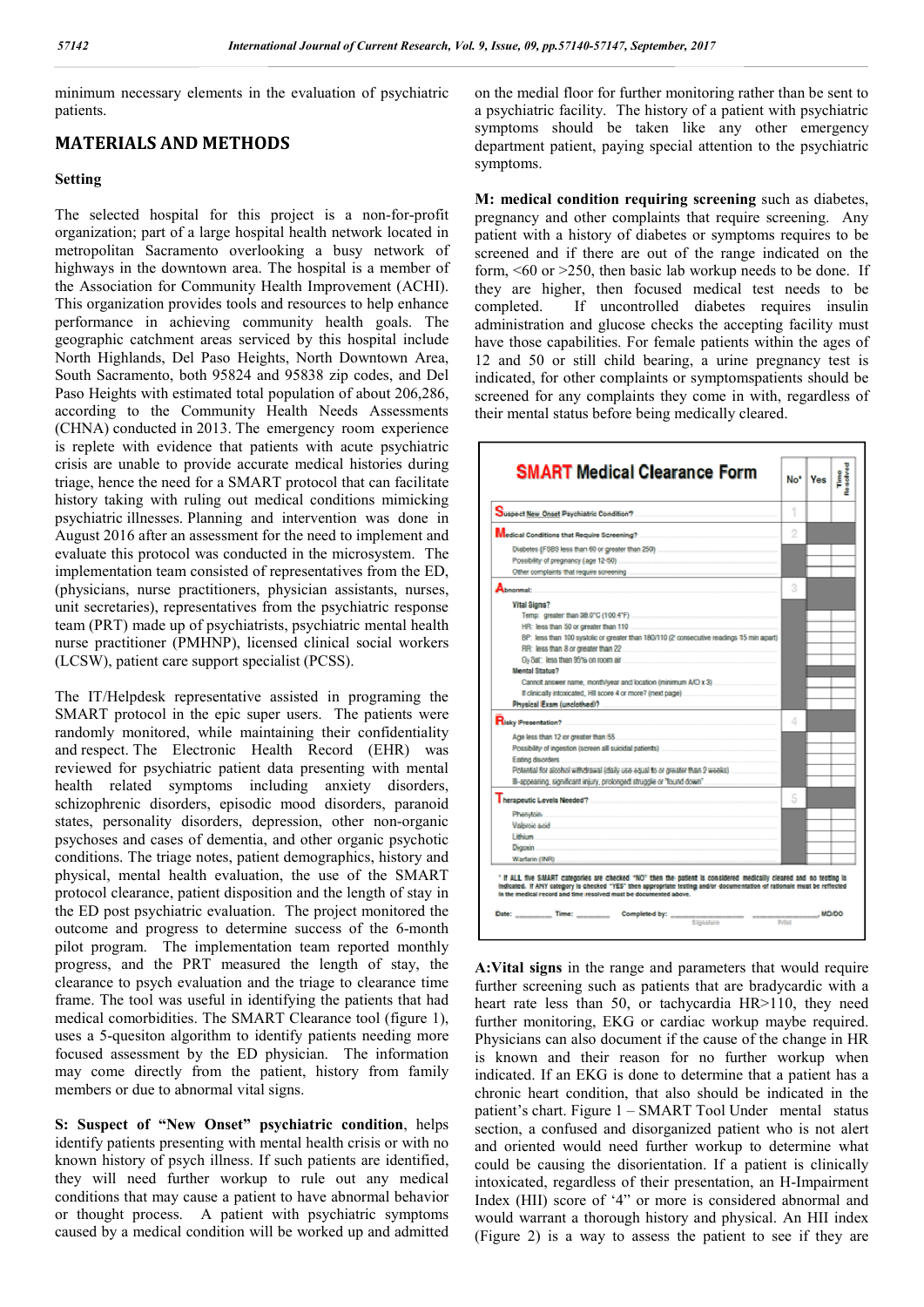minimum necessary elements in the evaluation of psychiatric patients.

### **MATERIALS AND METHODS**

#### **Setting**

The selected hospital for this project is a non-for-profit organization; part of a large hospital health network located in metropolitan Sacramento overlooking a busy network of highways in the downtown area. The hospital is a member of the Association for Community Health Improvement (ACHI). This organization provides tools and resources to help enhance performance in achieving community health goals. The geographic catchment areas serviced by this hospital include North Highlands, Del Paso Heights, North Downtown Area, South Sacramento, both 95824 and 95838 zip codes, and Del Paso Heights with estimated total population of about 206,286, according to the Community Health Needs Assessments (CHNA) conducted in 2013. The emergency room experience is replete with evidence that patients with acute psychiatric crisis are unable to provide accurate medical histories during triage, hence the need for a SMART protocol that can facilitate history taking with ruling out medical conditions mimicking psychiatric illnesses. Planning and intervention was done in August 2016 after an assessment for the need to implement and evaluate this protocol was conducted in the microsystem. The implementation team consisted of representatives from the ED, (physicians, nurse practitioners, physician assistants, nurses, unit secretaries), representatives from the psychiatric response team (PRT) made up of psychiatrists, psychiatric mental health nurse practitioner (PMHNP), licensed clinical social workers (LCSW), patient care support specialist (PCSS).

The IT/Helpdesk representative assisted in programing the SMART protocol in the epic super users. The patients were randomly monitored, while maintaining their confidentiality and respect. The Electronic Health Record (EHR) was reviewed for psychiatric patient data presenting with mental health related symptoms including anxiety disorders, schizophrenic disorders, episodic mood disorders, paranoid states, personality disorders, depression, other non-organic psychoses and cases of dementia, and other organic psychotic conditions. The triage notes, patient demographics, history and physical, mental health evaluation, the use of the SMART protocol clearance, patient disposition and the length of stay in the ED post psychiatric evaluation. The project monitored the outcome and progress to determine success of the 6-month pilot program. The implementation team reported monthly progress, and the PRT measured the length of stay, the clearance to psych evaluation and the triage to clearance time frame. The tool was useful in identifying the patients that had medical comorbidities. The SMART Clearance tool (figure 1), uses a 5-quesiton algorithm to identify patients needing more focused assessment by the ED physician. The information may come directly from the patient, history from family members or due to abnormal vital signs.

**S: Suspect of "New Onset" psychiatric condition**, helps identify patients presenting with mental health crisis or with no known history of psych illness. If such patients are identified, they will need further workup to rule out any medical conditions that may cause a patient to have abnormal behavior or thought process. A patient with psychiatric symptoms caused by a medical condition will be worked up and admitted

on the medial floor for further monitoring rather than be sent to a psychiatric facility. The history of a patient with psychiatric symptoms should be taken like any other emergency department patient, paying special attention to the psychiatric symptoms.

**M: medical condition requiring screening** such as diabetes, pregnancy and other complaints that require screening. Any patient with a history of diabetes or symptoms requires to be screened and if there are out of the range indicated on the form,  $\leq 60$  or  $\geq 250$ , then basic lab workup needs to be done. If they are higher, then focused medical test needs to be completed. If uncontrolled diabetes requires insulin administration and glucose checks the accepting facility must have those capabilities. For female patients within the ages of 12 and 50 or still child bearing, a urine pregnancy test is indicated, for other complaints or symptomspatients should be screened for any complaints they come in with, regardless of their mental status before being medically cleared.

| <b>SMART Medical Clearance Form</b>                                                                                                                                                                                                                                                                                                                                                                                                                                                                                                                                                               |   | No <sup>+</sup> Ves | 中心 あいきい かん<br>Time |
|---------------------------------------------------------------------------------------------------------------------------------------------------------------------------------------------------------------------------------------------------------------------------------------------------------------------------------------------------------------------------------------------------------------------------------------------------------------------------------------------------------------------------------------------------------------------------------------------------|---|---------------------|--------------------|
| Suspect New Onset Psychiatric Condition?                                                                                                                                                                                                                                                                                                                                                                                                                                                                                                                                                          |   |                     |                    |
|                                                                                                                                                                                                                                                                                                                                                                                                                                                                                                                                                                                                   | 2 |                     |                    |
|                                                                                                                                                                                                                                                                                                                                                                                                                                                                                                                                                                                                   |   |                     |                    |
| Abnormal:                                                                                                                                                                                                                                                                                                                                                                                                                                                                                                                                                                                         | 3 |                     |                    |
| <b>Vital Signs?</b><br>BP: less than 100 systolic or greater than 180/110 (2 consecutive readings 15 min apart)<br>RR: less than 8 or creater than 22<br>O <sub>2</sub> Sat: less than 95% on room air<br><b>Mental Status?</b><br>Cannot answer name. month/wear and location (minimum A/O x 3)<br>If clinically intoxicated, HII score 4 or more? (next page)<br>Physical Exam (unclothed)? [1999] [1999] [1999] [1999] [1999] [1999] [1999] [1999] [1999] [1999] [1999] [1999] [1999] [1999] [1999] [1999] [1999] [1999] [1999] [1999] [1999] [1999] [1999] [1999] [1999] [1999] [1999] [1999] |   |                     |                    |
| Risky Presentation?                                                                                                                                                                                                                                                                                                                                                                                                                                                                                                                                                                               | А |                     |                    |
| Age less than 12 or greater than 55<br>Possibility of ingestion (screen all suicidal patients)<br>Eating disorders<br>Potential for alcohol withdrawal (daily use equal to or greater than 2 weeks)<br>III-appearing, significant injury, prolonged strugglie or "found down"                                                                                                                                                                                                                                                                                                                     |   |                     |                    |
| Therapeutic Levels Needed? Management of the contract of the contract of the contract of the contract of the contract of the contract of the contract of the contract of the contract of the contract of the contract of the c                                                                                                                                                                                                                                                                                                                                                                    | 5 |                     |                    |
| Phenytoin<br>Valardo acid<br><b>Lithium</b><br>Digoren                                                                                                                                                                                                                                                                                                                                                                                                                                                                                                                                            |   |                     |                    |
| Wartarin (INR)                                                                                                                                                                                                                                                                                                                                                                                                                                                                                                                                                                                    |   |                     |                    |
| " If ALL five SMART categories are checked "NO" then the patient is considered medically cleared and no testing is<br>indicated. If ANY category is checked "YES" then appropriate testing and/or-documentation of rationale must be reflected<br>In the medical record and time resolved must be documented above.                                                                                                                                                                                                                                                                               |   |                     |                    |
| Date: Time: Completed by: ______                                                                                                                                                                                                                                                                                                                                                                                                                                                                                                                                                                  |   |                     | <b>MD/DO</b>       |

**A:Vital signs** in the range and parameters that would require further screening such as patients that are bradycardic with a heart rate less than 50, or tachycardia HR>110, they need further monitoring, EKG or cardiac workup maybe required. Physicians can also document if the cause of the change in HR is known and their reason for no further workup when indicated. If an EKG is done to determine that a patient has a chronic heart condition, that also should be indicated in the patient's chart. Figure 1 – SMART Tool Under mental status section, a confused and disorganized patient who is not alert and oriented would need further workup to determine what could be causing the disorientation. If a patient is clinically intoxicated, regardless of their presentation, an H-Impairment Index (HII) score of '4" or more is considered abnormal and would warrant a thorough history and physical. An HII index (Figure 2) is a way to assess the patient to see if they are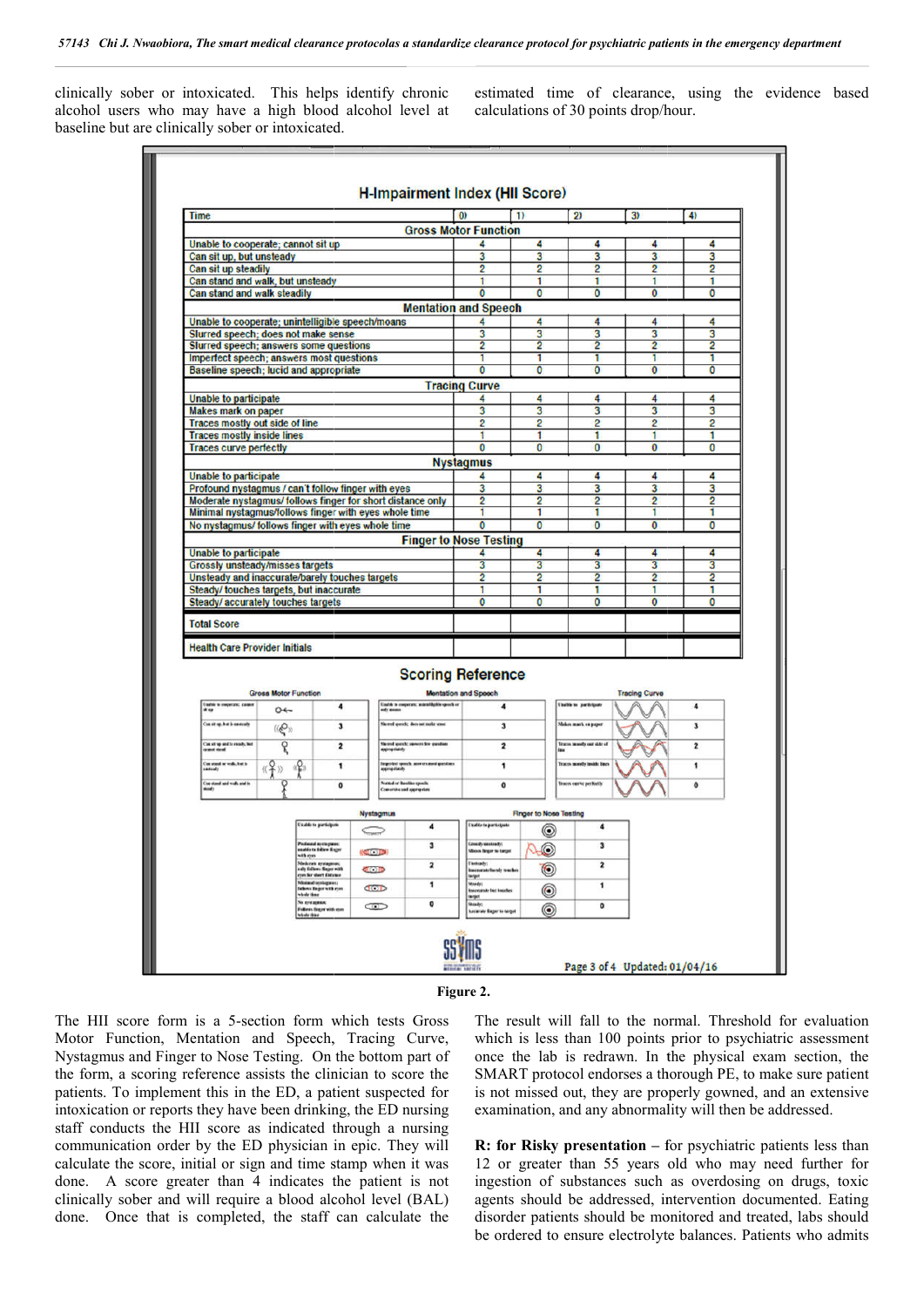clinically sober or intoxicated. This helps identify chronic alcohol users who may have a high blood alcohol level at baseline but are clinically sober or intoxicated.

| clinically sober or intoxicated.<br><b>H-Impairment Index (HII Score)</b>                                                                                                                                                                                                                                                                                                                                                                                                                                                                                                         |                                                                                       |                                    |                                                                                                                                     |                              |                                             |                                                                                                                                                                                                                                                                                                                                                                                                                                                           |  |
|-----------------------------------------------------------------------------------------------------------------------------------------------------------------------------------------------------------------------------------------------------------------------------------------------------------------------------------------------------------------------------------------------------------------------------------------------------------------------------------------------------------------------------------------------------------------------------------|---------------------------------------------------------------------------------------|------------------------------------|-------------------------------------------------------------------------------------------------------------------------------------|------------------------------|---------------------------------------------|-----------------------------------------------------------------------------------------------------------------------------------------------------------------------------------------------------------------------------------------------------------------------------------------------------------------------------------------------------------------------------------------------------------------------------------------------------------|--|
| <b>Time</b>                                                                                                                                                                                                                                                                                                                                                                                                                                                                                                                                                                       |                                                                                       | $\overline{1}$                     | $\overline{2}$                                                                                                                      | 3)                           | 4)                                          |                                                                                                                                                                                                                                                                                                                                                                                                                                                           |  |
| <b>Gross Motor Function</b><br>Unable to cooperate; cannot sit up                                                                                                                                                                                                                                                                                                                                                                                                                                                                                                                 | 4                                                                                     | 4                                  | 4                                                                                                                                   | 4                            | 4                                           |                                                                                                                                                                                                                                                                                                                                                                                                                                                           |  |
| Can sit up, but unsteady                                                                                                                                                                                                                                                                                                                                                                                                                                                                                                                                                          | 3<br>2                                                                                | 3<br>$\overline{2}$                | 3<br>$\overline{2}$                                                                                                                 | 3<br>$\overline{c}$          | 3<br>2                                      |                                                                                                                                                                                                                                                                                                                                                                                                                                                           |  |
| Can sit up steadily<br>Can stand and walk, but unsteady                                                                                                                                                                                                                                                                                                                                                                                                                                                                                                                           | 1                                                                                     | 1                                  | 1                                                                                                                                   | 1                            | 1                                           |                                                                                                                                                                                                                                                                                                                                                                                                                                                           |  |
| Can stand and walk steadily<br><b>Mentation and Speech</b>                                                                                                                                                                                                                                                                                                                                                                                                                                                                                                                        | 0                                                                                     | $\overline{0}$                     | $\overline{0}$                                                                                                                      | 0                            | 0                                           |                                                                                                                                                                                                                                                                                                                                                                                                                                                           |  |
| Unable to cooperate; unintelligible speech/moans                                                                                                                                                                                                                                                                                                                                                                                                                                                                                                                                  |                                                                                       | 4                                  | 4                                                                                                                                   | 4                            | 4                                           |                                                                                                                                                                                                                                                                                                                                                                                                                                                           |  |
| Slurred speech; does not make sense<br>Slurred speech; answers some questions                                                                                                                                                                                                                                                                                                                                                                                                                                                                                                     | 3<br>$\overline{2}$                                                                   | 3<br>$\overline{2}$                | 3<br>2                                                                                                                              | 3<br>$\overline{2}$          | 3<br>$\overline{\mathbf{2}}$                |                                                                                                                                                                                                                                                                                                                                                                                                                                                           |  |
| Imperfect speech; answers most questions<br>Baseline speech; lucid and appropriate                                                                                                                                                                                                                                                                                                                                                                                                                                                                                                | 1<br>$\overline{0}$                                                                   | 1<br>$\overline{0}$                | 1<br>$\overline{0}$                                                                                                                 | ī<br>$\overline{\mathbf{0}}$ | 1<br>$\overline{\mathbf{0}}$                |                                                                                                                                                                                                                                                                                                                                                                                                                                                           |  |
|                                                                                                                                                                                                                                                                                                                                                                                                                                                                                                                                                                                   | <b>Tracing Curve</b>                                                                  |                                    |                                                                                                                                     |                              |                                             |                                                                                                                                                                                                                                                                                                                                                                                                                                                           |  |
| Unable to participate<br><b>Makes mark on paper</b>                                                                                                                                                                                                                                                                                                                                                                                                                                                                                                                               | 4<br>3                                                                                | 4<br>3                             | 4<br>3                                                                                                                              | 4<br>3                       | 4<br>3                                      |                                                                                                                                                                                                                                                                                                                                                                                                                                                           |  |
| <b>Traces mostly out side of line</b><br><b>Traces mostly inside lines</b>                                                                                                                                                                                                                                                                                                                                                                                                                                                                                                        | 2<br>1                                                                                | $\overline{2}$<br>1                | $\overline{2}$<br>1                                                                                                                 | 2<br>1                       | 2<br>1                                      |                                                                                                                                                                                                                                                                                                                                                                                                                                                           |  |
| <b>Traces curve perfectly</b>                                                                                                                                                                                                                                                                                                                                                                                                                                                                                                                                                     | $\mathbf{0}$                                                                          | $\mathbf{0}$                       | $\mathbf{0}$                                                                                                                        | 0                            | $\mathbf 0$                                 |                                                                                                                                                                                                                                                                                                                                                                                                                                                           |  |
| Unable to participate                                                                                                                                                                                                                                                                                                                                                                                                                                                                                                                                                             | <b>Nystagmus</b><br>4                                                                 | 4                                  | 4                                                                                                                                   | 4                            | 4                                           |                                                                                                                                                                                                                                                                                                                                                                                                                                                           |  |
| Profound nystagmus / can't follow finger with eyes<br>Moderate nystagmus/ follows finger for short distance only                                                                                                                                                                                                                                                                                                                                                                                                                                                                  | 3<br>$\overline{2}$                                                                   | 3<br>$\overline{2}$                | 3<br>$\overline{2}$                                                                                                                 | 3<br>$\overline{2}$          | 3<br>$\overline{2}$                         |                                                                                                                                                                                                                                                                                                                                                                                                                                                           |  |
| Minimal nystagmus/follows finger with eyes whole time                                                                                                                                                                                                                                                                                                                                                                                                                                                                                                                             | 1                                                                                     | 1                                  | 1                                                                                                                                   | 1                            | 1                                           |                                                                                                                                                                                                                                                                                                                                                                                                                                                           |  |
| No nystagmus/ follows finger with eyes whole time<br><b>Finger to Nose Testing</b>                                                                                                                                                                                                                                                                                                                                                                                                                                                                                                | $\bf{0}$                                                                              | $\mathbf{0}$                       | $\bf{0}$                                                                                                                            | 0                            | $\bf{0}$                                    |                                                                                                                                                                                                                                                                                                                                                                                                                                                           |  |
| Unable to participate                                                                                                                                                                                                                                                                                                                                                                                                                                                                                                                                                             | 4<br>$\overline{\mathbf{3}}$                                                          | 4<br>$\overline{\mathbf{3}}$       | 4<br>3                                                                                                                              | 4<br>3                       | 4<br>3                                      |                                                                                                                                                                                                                                                                                                                                                                                                                                                           |  |
| <b>Grossly unsteady/misses targets</b><br>Unsteady and inaccurate/barely touches targets                                                                                                                                                                                                                                                                                                                                                                                                                                                                                          | $\overline{2}$                                                                        | $\overline{2}$                     | $\overline{c}$                                                                                                                      | 2                            | 2                                           |                                                                                                                                                                                                                                                                                                                                                                                                                                                           |  |
| Steady/touches targets, but inaccurate<br>Steady/accurately touches targets                                                                                                                                                                                                                                                                                                                                                                                                                                                                                                       | 1<br>$\overline{0}$                                                                   | 1<br>$\mathbf 0$                   | 1<br>0                                                                                                                              | 1<br>$\overline{0}$          | 1<br>$\mathbf{0}$                           |                                                                                                                                                                                                                                                                                                                                                                                                                                                           |  |
| <b>Total Score</b>                                                                                                                                                                                                                                                                                                                                                                                                                                                                                                                                                                |                                                                                       |                                    |                                                                                                                                     |                              |                                             |                                                                                                                                                                                                                                                                                                                                                                                                                                                           |  |
| <b>Health Care Provider Initials</b>                                                                                                                                                                                                                                                                                                                                                                                                                                                                                                                                              |                                                                                       |                                    |                                                                                                                                     |                              |                                             |                                                                                                                                                                                                                                                                                                                                                                                                                                                           |  |
| <b>Scoring Reference</b><br><b>Gross Motor Function</b><br>Coalds to cooperate; andereligible speech or<br>iselé s coperas; case<br>4<br>$O \leftarrow$<br>Costat up, but is eastcath<br>Nerrol gerick: decease radia scese<br>$\mathbf{3}$<br><b>((@)</b><br>ዩ<br>Can sit up and is roody, but<br>$\overline{\mathbf{2}}$<br>Sherred speech: novvern few guestine<br>Constant or well, but to<br>extently<br>ch: access and grant<br>1<br>Constant and volk and a<br><b><i><u><u><b>Simular Bandins speech</b></u></u></i></b><br>$\bullet$<br><b>Conversive and appropriate</b> | Montation and Speech<br>$\mathbf{3}$<br>$\overline{\mathbf{z}}$<br>1<br>$\pmb{\circ}$ |                                    | <b>Chable to participals</b><br>Makes mark or paper<br>Truces month our side of<br>fraces month inside line<br>hores corse perfects | <b>Tracing Curve</b>         | 4<br>3<br>$\overline{\mathbf{2}}$<br>1<br>٥ |                                                                                                                                                                                                                                                                                                                                                                                                                                                           |  |
| Nystagmus<br><b><i><u>Unable to participate</u></i></b><br>4<br><b>Seconds</b>                                                                                                                                                                                                                                                                                                                                                                                                                                                                                                    | Esablo to participate                                                                 | <b>Finger to Nose Testing</b><br>◉ | $\ddot{\phantom{a}}$                                                                                                                |                              |                                             |                                                                                                                                                                                                                                                                                                                                                                                                                                                           |  |
| Profound as clayway<br>3<br>saalde ta follen Sager<br>100.00                                                                                                                                                                                                                                                                                                                                                                                                                                                                                                                      | Greaty entrols<br><b>Roo finarr is turge</b>                                          | ◉                                  | з                                                                                                                                   |                              |                                             |                                                                                                                                                                                                                                                                                                                                                                                                                                                           |  |
| Moderate systagenes;<br>ody foliows finger with<br>$\overline{\mathbf{z}}$<br>CO<br>con for short distance                                                                                                                                                                                                                                                                                                                                                                                                                                                                        | <b><i><u>Unsteady</u></i></b><br><b>Insuranza</b> fundy weeks<br>tarijut              | $\circledcirc$                     | $\overline{\mathbf{z}}$                                                                                                             |                              |                                             |                                                                                                                                                                                                                                                                                                                                                                                                                                                           |  |
| <b>Mislaud systepse</b><br>1<br><b>COD</b><br>fallows Enger with ryes<br>vbdriter                                                                                                                                                                                                                                                                                                                                                                                                                                                                                                 | Novelsi<br><b>Inscription but location</b><br>target                                  | ◉                                  | 1                                                                                                                                   |                              |                                             |                                                                                                                                                                                                                                                                                                                                                                                                                                                           |  |
| No gridagenous<br>$\pmb{\mathsf{o}}$<br>œ<br><b>Informational wide com</b><br>whole thing                                                                                                                                                                                                                                                                                                                                                                                                                                                                                         | Strady;<br><b>Locativity Bager to temper</b>                                          | 0                                  | 0                                                                                                                                   |                              |                                             |                                                                                                                                                                                                                                                                                                                                                                                                                                                           |  |
|                                                                                                                                                                                                                                                                                                                                                                                                                                                                                                                                                                                   |                                                                                       |                                    | Page 3 of 4 Updated: 01/04/16                                                                                                       |                              |                                             |                                                                                                                                                                                                                                                                                                                                                                                                                                                           |  |
|                                                                                                                                                                                                                                                                                                                                                                                                                                                                                                                                                                                   | Figure 2.                                                                             |                                    |                                                                                                                                     |                              |                                             |                                                                                                                                                                                                                                                                                                                                                                                                                                                           |  |
| form is a 5-section form which tests Gross<br>on, Mentation and Speech, Tracing Curve,<br>Finger to Nose Testing. On the bottom part of<br>ring reference assists the clinician to score the<br>plement this in the ED, a patient suspected for<br>reports they have been drinking, the ED nursing<br>the HII score as indicated through a nursing                                                                                                                                                                                                                                |                                                                                       |                                    |                                                                                                                                     |                              |                                             | The result will fall to the normal. Threshold for evaluation<br>which is less than 100 points prior to psychiatric assessment<br>once the lab is redrawn. In the physical exam section, the<br>SMART protocol endorses a thorough PE, to make sure patient<br>is not missed out, they are properly gowned, and an extensive<br>examination, and any abnormality will then be addressed.<br>R: for Risky presentation - for psychiatric patients less than |  |



The HII score form is a 5-section form which tests Gross Motor Function, Mentation and Speech, Tracing Curve, Nystagmus and Finger to Nose Testing. On the bottom part of the form, a scoring reference assists the clinician to score the patients. To implement this in the ED, a patient suspected for intoxication or reports they have been drinking, the ED nursing staff conducts the HII score as indicated through a nursing communication order by the ED physician in epic. They will calculate the score, initial or sign and time stamp when it was done. A score greater than 4 indicates the patient is not clinically sober and will require a blood alcohol level (BAL) done. Once that is completed, the staff can calculate the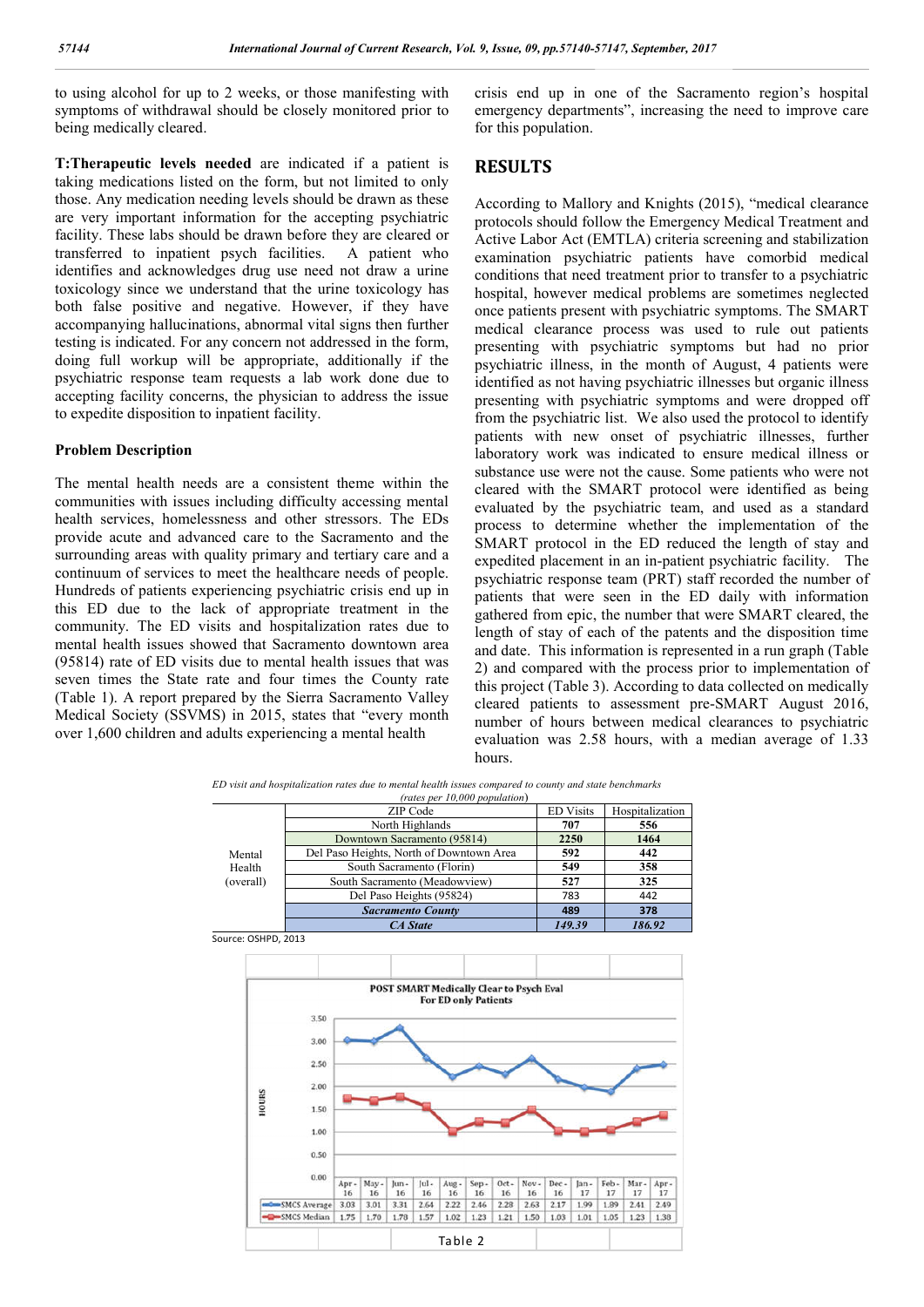to using alcohol for up to 2 weeks, or those manifesting with symptoms of withdrawal should be closely monitored prior to being medically cleared.

**T:Therapeutic levels needed** are indicated if a patient is taking medications listed on the form, but not limited to only those. Any medication needing levels should be drawn as these are very important information for the accepting psychiatric facility. These labs should be drawn before they are cleared or transferred to inpatient psych facilities. A patient who identifies and acknowledges drug use need not draw a urine toxicology since we understand that the urine toxicology has both false positive and negative. However, if they have accompanying hallucinations, abnormal vital signs then further testing is indicated. For any concern not addressed in the form, doing full workup will be appropriate, additionally if the psychiatric response team requests a lab work done due to accepting facility concerns, the physician to address the issue to expedite disposition to inpatient facility.

#### **Problem Description**

The mental health needs are a consistent theme within the communities with issues including difficulty accessing mental health services, homelessness and other stressors. The EDs provide acute and advanced care to the Sacramento and the surrounding areas with quality primary and tertiary care and a continuum of services to meet the healthcare needs of people. Hundreds of patients experiencing psychiatric crisis end up in this ED due to the lack of appropriate treatment in the community. The ED visits and hospitalization rates due to mental health issues showed that Sacramento downtown area (95814) rate of ED visits due to mental health issues that was seven times the State rate and four times the County rate (Table 1). A report prepared by the Sierra Sacramento Valley Medical Society (SSVMS) in 2015, states that "every month over 1,600 children and adults experiencing a mental health

crisis end up in one of the Sacramento region's hospital emergency departments", increasing the need to improve care for this population.

### **RESULTS**

According to Mallory and Knights (2015), "medical clearance protocols should follow the Emergency Medical Treatment and Active Labor Act (EMTLA) criteria screening and stabilization examination psychiatric patients have comorbid medical conditions that need treatment prior to transfer to a psychiatric hospital, however medical problems are sometimes neglected once patients present with psychiatric symptoms. The SMART medical clearance process was used to rule out patients presenting with psychiatric symptoms but had no prior psychiatric illness, in the month of August, 4 patients were identified as not having psychiatric illnesses but organic illness presenting with psychiatric symptoms and were dropped off from the psychiatric list. We also used the protocol to identify patients with new onset of psychiatric illnesses, further laboratory work was indicated to ensure medical illness or substance use were not the cause. Some patients who were not cleared with the SMART protocol were identified as being evaluated by the psychiatric team, and used as a standard process to determine whether the implementation of the SMART protocol in the ED reduced the length of stay and expedited placement in an in-patient psychiatric facility. The psychiatric response team (PRT) staff recorded the number of patients that were seen in the ED daily with information gathered from epic, the number that were SMART cleared, the length of stay of each of the patents and the disposition time and date. This information is represented in a run graph (Table 2) and compared with the process prior to implementation of this project (Table 3). According to data collected on medically cleared patients to assessment pre-SMART August 2016, number of hours between medical clearances to psychiatric evaluation was 2.58 hours, with a median average of 1.33 hours.

*ED visit and hospitalization rates due to mental health issues compared to county and state benchmarks (rates per 10,000 population*)

| <i>raies per 10,000 population</i> ) |                                          |                  |                 |  |  |  |  |
|--------------------------------------|------------------------------------------|------------------|-----------------|--|--|--|--|
| Mental<br>Health<br>(overall)        | ZIP Code                                 | <b>ED Visits</b> | Hospitalization |  |  |  |  |
|                                      | North Highlands                          | 707              | 556             |  |  |  |  |
|                                      | Downtown Sacramento (95814)              | 2250             | 1464            |  |  |  |  |
|                                      | Del Paso Heights, North of Downtown Area | 592              | 442             |  |  |  |  |
|                                      | South Sacramento (Florin)                | 549              | 358             |  |  |  |  |
|                                      | South Sacramento (Meadowview)            | 527              | 325             |  |  |  |  |
|                                      | Del Paso Heights (95824)                 | 783              | 442             |  |  |  |  |
|                                      | <b>Sacramento County</b>                 | 489              | 378             |  |  |  |  |
|                                      | <b>CA</b> State                          | 149.39           | 186.92          |  |  |  |  |

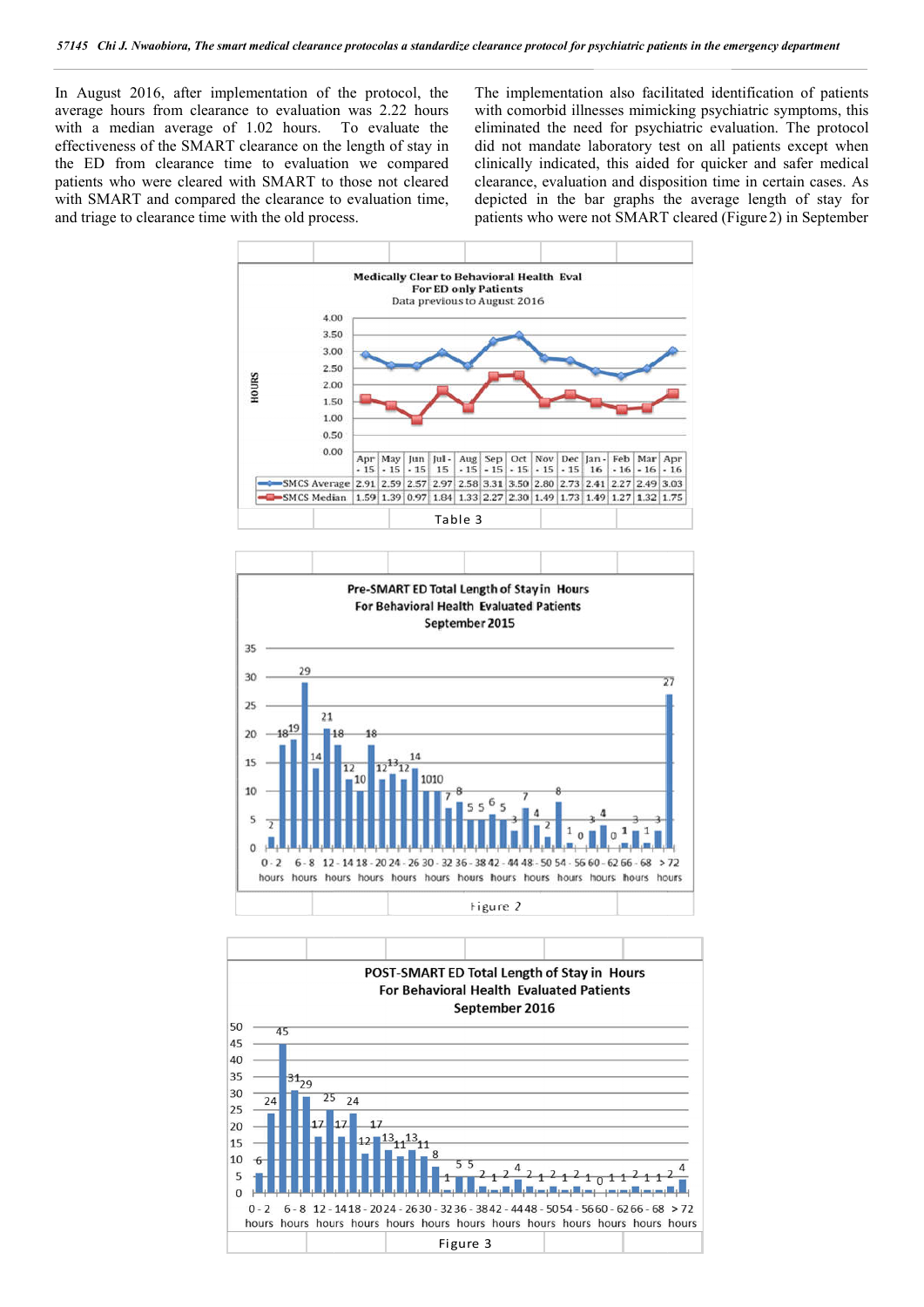In August 2016, after implementation of the protocol, the average hours from clearance to evaluation was 2.22 hours with a median average of 1.02 hours. To evaluate the effectiveness of the SMART clearance on the length of stay in the ED from clearance time to evaluation we compared patients who were cleared with SMART to those not cleared with SMART and compared the clearance to evaluation time, and triage to clearance time with the old process.

The implementation also facilitated identification of patients with comorbid illnesses mimicking psychiatric symptoms, this eliminated the need for psychiatric evaluation. The protocol did not mandate laboratory test on all patients except when clinically indicated, this aided for quicker and safer medical clearance, evaluation and disposition time in certain cases. As clinically indicated, this aided for quicker and safer medical clearance, evaluation and disposition time in certain cases. depicted in the bar graphs the average length of stay for depicted in the bar graphs the average length of stay for patients who were not SMART cleared (Figure 2) in September





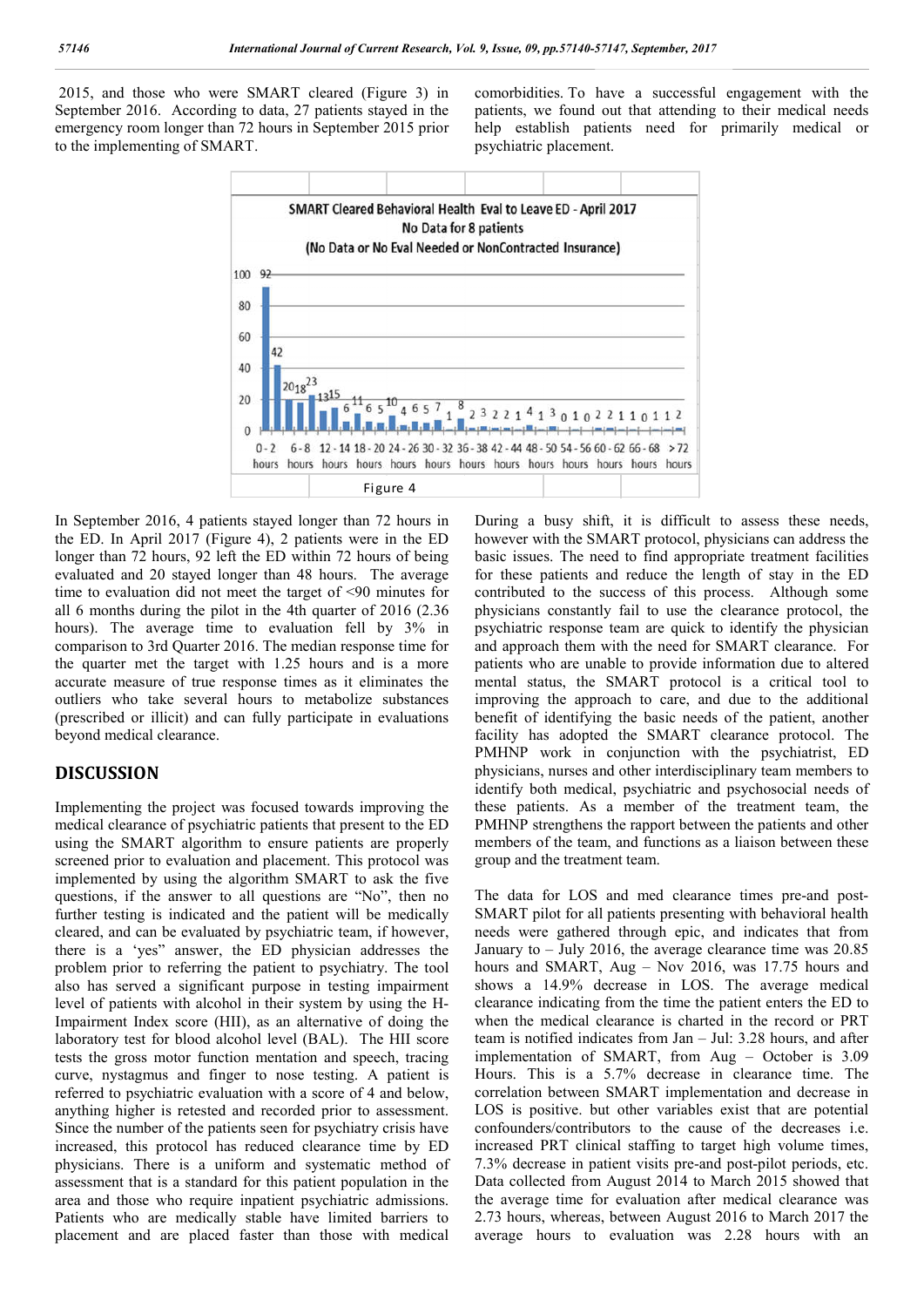2015, and those who were SMART cleared (Figure 3) in September 2016. According to data, 27 patients stayed in the emergency room longer than 72 hours in September 2015 prior to the implementing of SMART.

comorbidities. To have a successful engagement with the patients, we found out that attending to their medical needs help establish patients need for primarily medical or psychiatric placement.



In September 2016, 4 patients stayed longer than 72 hours in the ED. In April 2017 (Figure 4), 2 patients were in the ED longer than 72 hours, 92 left the ED within 72 hours of being evaluated and 20 stayed longer than 48 hours. The average time to evaluation did not meet the target of <90 minutes for all 6 months during the pilot in the 4th quarter of 2016 (2.36 hours). The average time to evaluation fell by 3% in comparison to 3rd Quarter 2016. The median response time for the quarter met the target with 1.25 hours and is a more accurate measure of true response times as it eliminates the outliers who take several hours to metabolize substances (prescribed or illicit) and can fully participate in evaluations beyond medical clearance.

### **DISCUSSION**

Implementing the project was focused towards improving the medical clearance of psychiatric patients that present to the ED using the SMART algorithm to ensure patients are properly screened prior to evaluation and placement. This protocol was implemented by using the algorithm SMART to ask the five questions, if the answer to all questions are "No", then no further testing is indicated and the patient will be medically cleared, and can be evaluated by psychiatric team, if however, there is a 'yes" answer, the ED physician addresses the problem prior to referring the patient to psychiatry. The tool also has served a significant purpose in testing impairment level of patients with alcohol in their system by using the H-Impairment Index score (HII), as an alternative of doing the laboratory test for blood alcohol level (BAL). The HII score tests the gross motor function mentation and speech, tracing curve, nystagmus and finger to nose testing. A patient is referred to psychiatric evaluation with a score of 4 and below, anything higher is retested and recorded prior to assessment. Since the number of the patients seen for psychiatry crisis have increased, this protocol has reduced clearance time by ED physicians. There is a uniform and systematic method of assessment that is a standard for this patient population in the area and those who require inpatient psychiatric admissions. Patients who are medically stable have limited barriers to placement and are placed faster than those with medical

During a busy shift, it is difficult to assess these needs, however with the SMART protocol, physicians can address the basic issues. The need to find appropriate treatment facilities for these patients and reduce the length of stay in the ED contributed to the success of this process. Although some physicians constantly fail to use the clearance protocol, the psychiatric response team are quick to identify the physician and approach them with the need for SMART clearance. For patients who are unable to provide information due to altered mental status, the SMART protocol is a critical tool to improving the approach to care, and due to the additional benefit of identifying the basic needs of the patient, another facility has adopted the SMART clearance protocol. The PMHNP work in conjunction with the psychiatrist, ED physicians, nurses and other interdisciplinary team members to identify both medical, psychiatric and psychosocial needs of these patients. As a member of the treatment team, the PMHNP strengthens the rapport between the patients and other members of the team, and functions as a liaison between these group and the treatment team.

The data for LOS and med clearance times pre-and post-SMART pilot for all patients presenting with behavioral health needs were gathered through epic, and indicates that from January to – July 2016, the average clearance time was 20.85 hours and SMART, Aug – Nov 2016, was 17.75 hours and shows a 14.9% decrease in LOS. The average medical clearance indicating from the time the patient enters the ED to when the medical clearance is charted in the record or PRT team is notified indicates from Jan – Jul: 3.28 hours, and after implementation of SMART, from Aug – October is 3.09 Hours. This is a 5.7% decrease in clearance time. The correlation between SMART implementation and decrease in LOS is positive. but other variables exist that are potential confounders/contributors to the cause of the decreases i.e. increased PRT clinical staffing to target high volume times, 7.3% decrease in patient visits pre-and post-pilot periods, etc. Data collected from August 2014 to March 2015 showed that the average time for evaluation after medical clearance was 2.73 hours, whereas, between August 2016 to March 2017 the average hours to evaluation was 2.28 hours with an